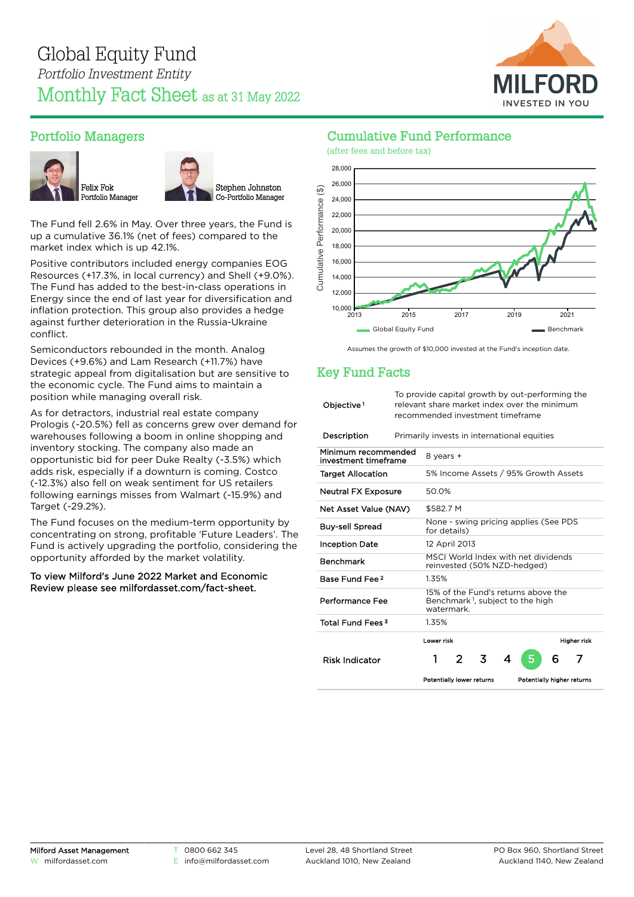

# Portfolio Managers





The Fund fell 2.6% in May. Over three years, the Fund is up a cumulative 36.1% (net of fees) compared to the market index which is up 42.1%.

Positive contributors included energy companies EOG Resources (+17.3%, in local currency) and Shell (+9.0%). The Fund has added to the best-in-class operations in Energy since the end of last year for diversification and inflation protection. This group also provides a hedge against further deterioration in the Russia-Ukraine conflict.

Semiconductors rebounded in the month. Analog Devices (+9.6%) and Lam Research (+11.7%) have strategic appeal from digitalisation but are sensitive to the economic cycle. The Fund aims to maintain a position while managing overall risk.

As for detractors, industrial real estate company Prologis (-20.5%) fell as concerns grew over demand for warehouses following a boom in online shopping and inventory stocking. The company also made an opportunistic bid for peer Duke Realty (-3.5%) which adds risk, especially if a downturn is coming. Costco (-12.3%) also fell on weak sentiment for US retailers following earnings misses from Walmart (-15.9%) and Target (-29.2%).

The Fund focuses on the medium-term opportunity by concentrating on strong, profitable 'Future Leaders'. The Fund is actively upgrading the portfolio, considering the opportunity afforded by the market volatility.

#### To view Milford's June 2022 Market and Economic Review please see [milfordasset.com/fact-sheet](https://milfordasset.com/wp-content/uploads/2022/06/Market-and-Economic-Review-June-2022.pdf).

### Cumulative Fund Performance



Assumes the growth of \$10,000 invested at the Fund's inception date.

# Key Fund Facts

| Objective <sup>1</sup>                      | To provide capital growth by out-performing the<br>relevant share market index over the minimum<br>recommended investment timeframe |               |   |   |                            |   |             |
|---------------------------------------------|-------------------------------------------------------------------------------------------------------------------------------------|---------------|---|---|----------------------------|---|-------------|
| Description                                 | Primarily invests in international equities                                                                                         |               |   |   |                            |   |             |
| Minimum recommended<br>investment timeframe | 8 years +                                                                                                                           |               |   |   |                            |   |             |
| <b>Target Allocation</b>                    | 5% Income Assets / 95% Growth Assets                                                                                                |               |   |   |                            |   |             |
| <b>Neutral FX Exposure</b>                  | 50.0%                                                                                                                               |               |   |   |                            |   |             |
| Net Asset Value (NAV)                       | \$582.7 M                                                                                                                           |               |   |   |                            |   |             |
| <b>Buy-sell Spread</b>                      | None - swing pricing applies (See PDS<br>for details)                                                                               |               |   |   |                            |   |             |
| <b>Inception Date</b>                       | 12 April 2013                                                                                                                       |               |   |   |                            |   |             |
| <b>Benchmark</b>                            | MSCI World Index with net dividends<br>reinvested (50% NZD-hedged)                                                                  |               |   |   |                            |   |             |
| Base Fund Fee 2                             | 1.35%                                                                                                                               |               |   |   |                            |   |             |
| Performance Fee                             | 15% of the Fund's returns above the<br>Benchmark <sup>1</sup> , subject to the high<br>watermark.                                   |               |   |   |                            |   |             |
| Total Fund Fees <sup>3</sup>                | 1.35%                                                                                                                               |               |   |   |                            |   |             |
|                                             | Lower risk                                                                                                                          |               |   |   |                            |   | Higher risk |
| <b>Risk Indicator</b>                       | 1                                                                                                                                   | $\mathcal{P}$ | 3 | 4 |                            | 6 | 7           |
|                                             | Potentially lower returns                                                                                                           |               |   |   | Potentially higher returns |   |             |